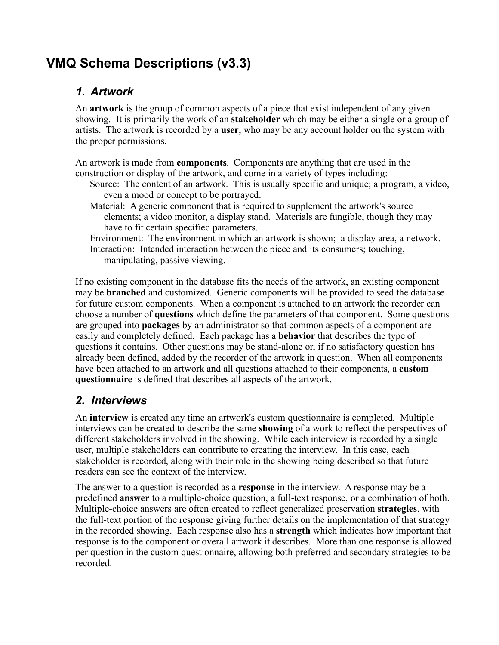# **VMQ Schema Descriptions (v3.3)**

#### *1. Artwork*

An **artwork** is the group of common aspects of a piece that exist independent of any given showing. It is primarily the work of an **stakeholder** which may be either a single or a group of artists. The artwork is recorded by a **user**, who may be any account holder on the system with the proper permissions.

An artwork is made from **components**. Components are anything that are used in the construction or display of the artwork, and come in a variety of types including:

- Source: The content of an artwork. This is usually specific and unique; a program, a video, even a mood or concept to be portrayed.
- Material: A generic component that is required to supplement the artwork's source elements; a video monitor, a display stand. Materials are fungible, though they may have to fit certain specified parameters.
- Environment: The environment in which an artwork is shown; a display area, a network. Interaction: Intended interaction between the piece and its consumers; touching, manipulating, passive viewing.

If no existing component in the database fits the needs of the artwork, an existing component may be **branched** and customized. Generic components will be provided to seed the database for future custom components. When a component is attached to an artwork the recorder can choose a number of **questions** which define the parameters of that component. Some questions are grouped into **packages** by an administrator so that common aspects of a component are easily and completely defined. Each package has a **behavior** that describes the type of questions it contains. Other questions may be stand-alone or, if no satisfactory question has already been defined, added by the recorder of the artwork in question. When all components have been attached to an artwork and all questions attached to their components, a **custom questionnaire** is defined that describes all aspects of the artwork.

### *2. Interviews*

An **interview** is created any time an artwork's custom questionnaire is completed. Multiple interviews can be created to describe the same **showing** of a work to reflect the perspectives of different stakeholders involved in the showing. While each interview is recorded by a single user, multiple stakeholders can contribute to creating the interview. In this case, each stakeholder is recorded, along with their role in the showing being described so that future readers can see the context of the interview.

The answer to a question is recorded as a **response** in the interview. A response may be a predefined **answer** to a multiple-choice question, a full-text response, or a combination of both. Multiple-choice answers are often created to reflect generalized preservation **strategies**, with the full-text portion of the response giving further details on the implementation of that strategy in the recorded showing. Each response also has a **strength** which indicates how important that response is to the component or overall artwork it describes. More than one response is allowed per question in the custom questionnaire, allowing both preferred and secondary strategies to be recorded.